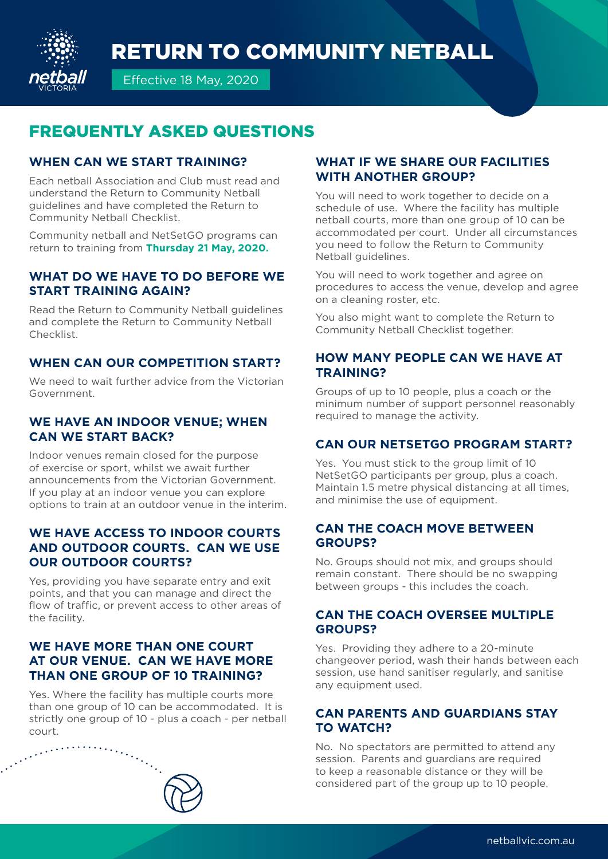# RETURN TO COMMUNITY NETBALL



Effective 18 May, 2020

## FREQUENTLY ASKED QUESTIONS

#### **WHEN CAN WE START TRAINING?**

Each netball Association and Club must read and understand the Return to Community Netball guidelines and have completed the Return to Community Netball Checklist.

Community netball and NetSetGO programs can return to training from **Thursday 21 May, 2020.** 

#### **WHAT DO WE HAVE TO DO BEFORE WE START TRAINING AGAIN?**

Read the Return to Community Netball guidelines and complete the Return to Community Netball Checklist.

#### **WHEN CAN OUR COMPETITION START?**

We need to wait further advice from the Victorian Government.

#### **WE HAVE AN INDOOR VENUE; WHEN CAN WE START BACK?**

Indoor venues remain closed for the purpose of exercise or sport, whilst we await further announcements from the Victorian Government. If you play at an indoor venue you can explore options to train at an outdoor venue in the interim.

#### **WE HAVE ACCESS TO INDOOR COURTS AND OUTDOOR COURTS. CAN WE USE OUR OUTDOOR COURTS?**

Yes, providing you have separate entry and exit points, and that you can manage and direct the flow of traffic, or prevent access to other areas of the facility.

#### **WE HAVE MORE THAN ONE COURT AT OUR VENUE. CAN WE HAVE MORE THAN ONE GROUP OF 10 TRAINING?**

Yes. Where the facility has multiple courts more than one group of 10 can be accommodated. It is strictly one group of 10 - plus a coach - per netball

# $\cdots$  court.

#### **WHAT IF WE SHARE OUR FACILITIES WITH ANOTHER GROUP?**

You will need to work together to decide on a schedule of use. Where the facility has multiple netball courts, more than one group of 10 can be accommodated per court. Under all circumstances you need to follow the Return to Community Netball guidelines.

You will need to work together and agree on procedures to access the venue, develop and agree on a cleaning roster, etc.

You also might want to complete the Return to Community Netball Checklist together.

#### **HOW MANY PEOPLE CAN WE HAVE AT TRAINING?**

Groups of up to 10 people, plus a coach or the minimum number of support personnel reasonably required to manage the activity.

#### **CAN OUR NETSETGO PROGRAM START?**

Yes. You must stick to the group limit of 10 NetSetGO participants per group, plus a coach. Maintain 1.5 metre physical distancing at all times, and minimise the use of equipment.

#### **CAN THE COACH MOVE BETWEEN GROUPS?**

No. Groups should not mix, and groups should remain constant. There should be no swapping between groups - this includes the coach.

#### **CAN THE COACH OVERSEE MULTIPLE GROUPS?**

Yes. Providing they adhere to a 20-minute changeover period, wash their hands between each session, use hand sanitiser regularly, and sanitise any equipment used.

#### **CAN PARENTS AND GUARDIANS STAY TO WATCH?**

No. No spectators are permitted to attend any session. Parents and guardians are required to keep a reasonable distance or they will be considered part of the group up to 10 people.